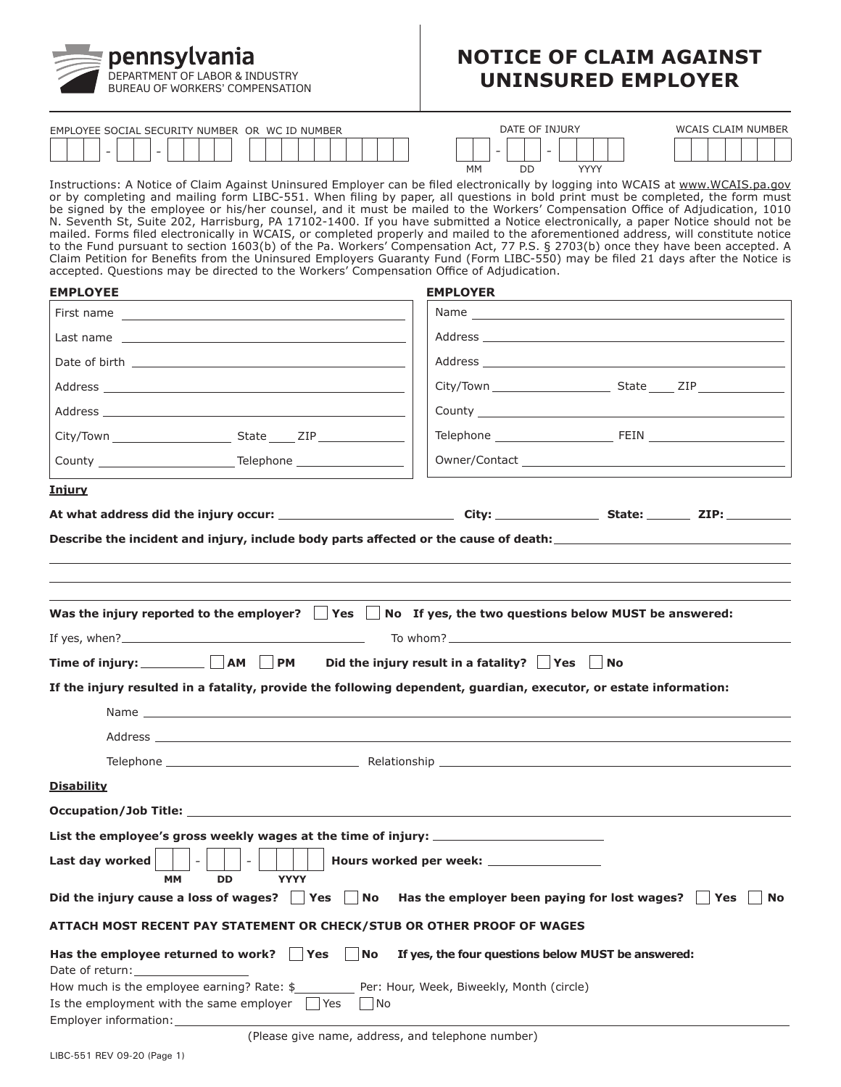

# **NOTICE OF CLAIM AGAINST UNINSURED EMPLOYER**

| <b>SOCIAL</b><br>$\sim$ $\sim$<br><b>CURITY NUMBER</b><br><b>FMPI OYFF</b><br><b>SF1</b> | <b>IMBE</b><br><b>WC</b><br>OR<br>NH<br>TD. | DA1<br><b>'JURY</b><br>'N | <b>NUMBER</b><br>៱៸៸<br>AIM |
|------------------------------------------------------------------------------------------|---------------------------------------------|---------------------------|-----------------------------|
|                                                                                          |                                             |                           |                             |

| DATE OF INJURY |    |      |  |  |
|----------------|----|------|--|--|
|                |    |      |  |  |
| MМ             | חח | YYYY |  |  |

| WCAIS CLAIM NUMBER |  |  |  |  |  |  |
|--------------------|--|--|--|--|--|--|
|                    |  |  |  |  |  |  |

Instructions: A Notice of Claim Against Uninsured Employer can be filed electronically by logging into WCAIS at <www.WCAIS.pa.gov> or by completing and mailing form LIBC-551. When filing by paper, all questions in bold print must be completed, the form must be signed by the employee or his/her counsel, and it must be mailed to the Workers' Compensation Office of Adjudication, 1010 N. Seventh St, Suite 202, Harrisburg, PA 17102-1400. If you have submitted a Notice electronically, a paper Notice should not be mailed. Forms filed electronically in WCAIS, or completed properly and mailed to the aforementioned address, will constitute notice to the Fund pursuant to section 1603(b) of the Pa. Workers' Compensation Act, 77 P.S. § 2703(b) once they have been accepted. A Claim Petition for Benefits from the Uninsured Employers Guaranty Fund (Form LIBC-550) may be filed 21 days after the Notice is accepted. Questions may be directed to the Workers' Compensation Office of Adjudication.

| <b>EMPLOYEE</b>                                                   |                                                                                                                   | <b>EMPLOYER</b>                                           |           |
|-------------------------------------------------------------------|-------------------------------------------------------------------------------------------------------------------|-----------------------------------------------------------|-----------|
|                                                                   |                                                                                                                   |                                                           |           |
|                                                                   |                                                                                                                   |                                                           |           |
|                                                                   |                                                                                                                   |                                                           |           |
|                                                                   |                                                                                                                   |                                                           |           |
|                                                                   |                                                                                                                   |                                                           |           |
|                                                                   |                                                                                                                   |                                                           |           |
|                                                                   |                                                                                                                   |                                                           |           |
| <u>Injury</u>                                                     |                                                                                                                   |                                                           |           |
|                                                                   |                                                                                                                   |                                                           |           |
|                                                                   | Was the injury reported to the employer? $\Box$ Yes $\Box$ No If yes, the two questions below MUST be answered:   |                                                           |           |
|                                                                   | If yes, when? $\frac{1}{2}$ is the set of yes, when ?                                                             | To whom? $\frac{1}{2}$ To whom?                           |           |
|                                                                   | Time of injury: ___________ $\bigsqcup$ AM $\fbox{ }\fbox{ }$ PM                                                  | Did the injury result in a fatality? $\Box$ Yes $\Box$ No |           |
|                                                                   | If the injury resulted in a fatality, provide the following dependent, guardian, executor, or estate information: |                                                           |           |
|                                                                   |                                                                                                                   |                                                           |           |
|                                                                   |                                                                                                                   |                                                           |           |
|                                                                   |                                                                                                                   |                                                           |           |
| <b>Disability</b>                                                 |                                                                                                                   |                                                           |           |
|                                                                   |                                                                                                                   |                                                           |           |
|                                                                   | List the employee's gross weekly wages at the time of injury: ___________________                                 |                                                           |           |
| Last day worked<br><b>MM</b>                                      | $\sim$<br>$\sim$<br><b>DD</b><br><b>YYYY</b>                                                                      | Hours worked per week: ________________                   |           |
|                                                                   | Did the injury cause a loss of wages? $\Box$ Yes<br>No                                                            | Has the employer been paying for lost wages? $\Box$ Yes   | <b>No</b> |
|                                                                   | ATTACH MOST RECENT PAY STATEMENT OR CHECK/STUB OR OTHER PROOF OF WAGES                                            |                                                           |           |
| Date of return:                                                   | Has the employee returned to work? $\vert \vert$ Yes<br><b>No</b>                                                 | If yes, the four questions below MUST be answered:        |           |
| Is the employment with the same employer<br>Employer information: | How much is the employee earning? Rate: \$ __________ Per: Hour, Week, Biweekly, Month (circle)<br>l Yes          | l No                                                      |           |